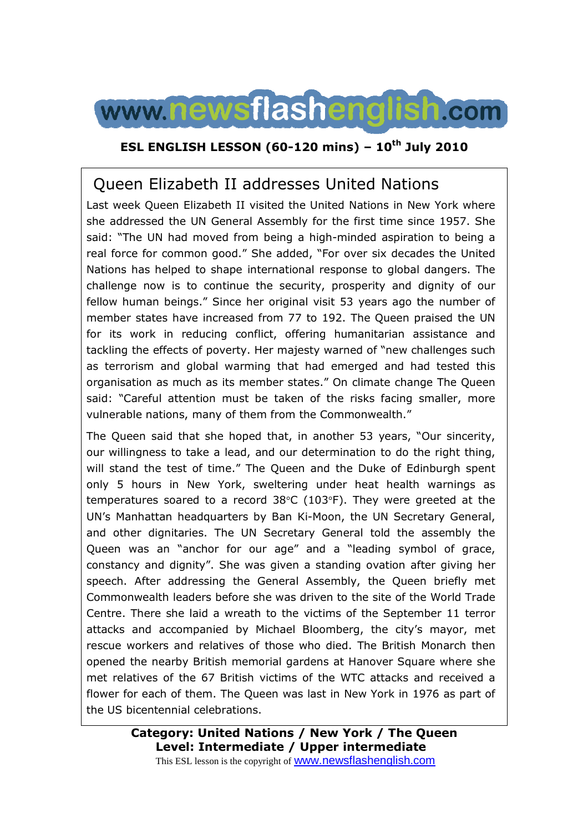

### **ESL ENGLISH LESSON (60-120 mins) – 10th July 2010**

# Queen Elizabeth II addresses United Nations

Last week Queen Elizabeth II visited the United Nations in New York where she addressed the UN General Assembly for the first time since 1957. She said: "The UN had moved from being a high-minded aspiration to being a real force for common good." She added, "For over six decades the United Nations has helped to shape international response to global dangers. The challenge now is to continue the security, prosperity and dignity of our fellow human beings." Since her original visit 53 years ago the number of member states have increased from 77 to 192. The Queen praised the UN for its work in reducing conflict, offering humanitarian assistance and tackling the effects of poverty. Her majesty warned of "new challenges such as terrorism and global warming that had emerged and had tested this organisation as much as its member states." On climate change The Queen said: "Careful attention must be taken of the risks facing smaller, more vulnerable nations, many of them from the Commonwealth."

The Queen said that she hoped that, in another 53 years, "Our sincerity, our willingness to take a lead, and our determination to do the right thing, will stand the test of time." The Queen and the Duke of Edinburgh spent only 5 hours in New York, sweltering under heat health warnings as temperatures soared to a record 38°C (103°F). They were greeted at the UN's Manhattan headquarters by Ban Ki-Moon, the UN Secretary General, and other dignitaries. The UN Secretary General told the assembly the Queen was an "anchor for our age" and a "leading symbol of grace, constancy and dignity". She was given a standing ovation after giving her speech. After addressing the General Assembly, the Queen briefly met Commonwealth leaders before she was driven to the site of the World Trade Centre. There she laid a wreath to the victims of the September 11 terror attacks and accompanied by Michael Bloomberg, the city's mayor, met rescue workers and relatives of those who died. The British Monarch then opened the nearby British memorial gardens at Hanover Square where she met relatives of the 67 British victims of the WTC attacks and received a flower for each of them. The Queen was last in New York in 1976 as part of the US bicentennial celebrations.

This ESL lesson is the copyright of www.newsflashenglish.com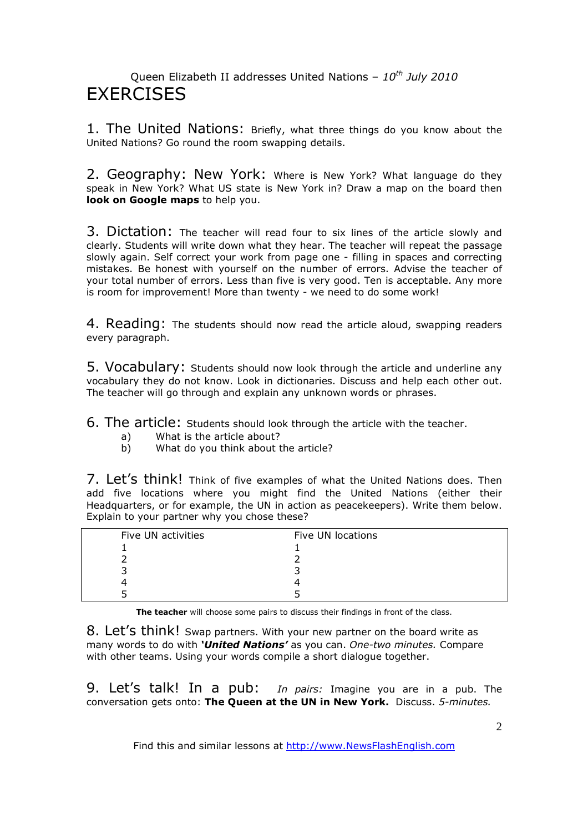### Queen Elizabeth II addresses United Nations – *10th July 2010* **FXFRCISES**

1. The United Nations: Briefly, what three things do you know about the United Nations? Go round the room swapping details.

2. Geography: New York: Where is New York? What language do they speak in New York? What US state is New York in? Draw a map on the board then **look on Google maps** to help you.

3. Dictation: The teacher will read four to six lines of the article slowly and clearly. Students will write down what they hear. The teacher will repeat the passage slowly again. Self correct your work from page one - filling in spaces and correcting mistakes. Be honest with yourself on the number of errors. Advise the teacher of your total number of errors. Less than five is very good. Ten is acceptable. Any more is room for improvement! More than twenty - we need to do some work!

4. Reading: The students should now read the article aloud, swapping readers every paragraph.

5. Vocabulary: Students should now look through the article and underline any vocabulary they do not know. Look in dictionaries. Discuss and help each other out. The teacher will go through and explain any unknown words or phrases.

6. The article: Students should look through the article with the teacher.

- a) What is the article about?
- b) What do you think about the article?

7. Let's think! Think of five examples of what the United Nations does. Then add five locations where you might find the United Nations (either their Headquarters, or for example, the UN in action as peacekeepers). Write them below. Explain to your partner why you chose these?

| Five UN activities | Five UN locations |
|--------------------|-------------------|
|                    |                   |
|                    |                   |
|                    |                   |
|                    |                   |
|                    |                   |

**The teacher** will choose some pairs to discuss their findings in front of the class.

8. Let's think! Swap partners. With your new partner on the board write as many words to do with *'United Nations'* as you can. *One-two minutes.* Compare with other teams. Using your words compile a short dialogue together.

9. Let's talk! In a pub: *In pairs:* Imagine you are in a pub. The conversation gets onto: **The Queen at the UN in New York.** Discuss. *5-minutes.*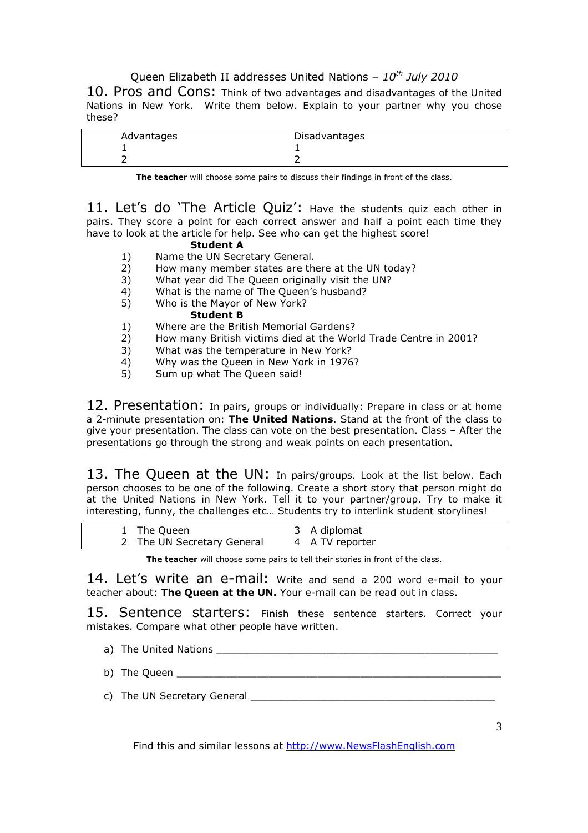Queen Elizabeth II addresses United Nations – *10th July 2010*

10. Pros and Cons: Think of two advantages and disadvantages of the United Nations in New York. Write them below. Explain to your partner why you chose these?

| Advantages | Disadvantages |  |
|------------|---------------|--|
|            |               |  |
|            |               |  |

**The teacher** will choose some pairs to discuss their findings in front of the class.

11. Let's do 'The Article Quiz': Have the students quiz each other in pairs. They score a point for each correct answer and half a point each time they have to look at the article for help. See who can get the highest score!

### **Student A**

- 1) Name the UN Secretary General.
- 2) How many member states are there at the UN today?
- 3) What year did The Queen originally visit the UN?
- 4) What is the name of The Queen's husband?
- 5) Who is the Mayor of New York?

### **Student B**

- 1) Where are the British Memorial Gardens?
- 2) How many British victims died at the World Trade Centre in 2001?
- 3) What was the temperature in New York?
- 4) Why was the Queen in New York in 1976?<br>5) Sum up what The Queen said!
- Sum up what The Queen said!

12. Presentation: In pairs, groups or individually: Prepare in class or at home a 2-minute presentation on: **The United Nations**. Stand at the front of the class to give your presentation. The class can vote on the best presentation. Class – After the presentations go through the strong and weak points on each presentation.

13. The Queen at the UN: In pairs/groups. Look at the list below. Each person chooses to be one of the following. Create a short story that person might do at the United Nations in New York. Tell it to your partner/group. Try to make it interesting, funny, the challenges etc… Students try to interlink student storylines!

| 1 The Queen                | 3 A diplomat    |
|----------------------------|-----------------|
| 2 The UN Secretary General | 4 A TV reporter |

**The teacher** will choose some pairs to tell their stories in front of the class.

14. Let's write an e-mail: Write and send a 200 word e-mail to your teacher about: **The Queen at the UN.** Your e-mail can be read out in class.

15. Sentence starters: Finish these sentence starters. Correct your mistakes. Compare what other people have written.

- a) The United Nations
- b) The Queen \_\_\_\_\_\_\_\_\_\_\_\_\_\_\_\_\_\_\_\_\_\_\_\_\_\_\_\_\_\_\_\_\_\_\_\_\_\_\_\_\_\_\_\_\_\_\_\_\_\_\_\_\_
- c) The UN Secretary General \_\_\_\_\_\_\_\_\_\_\_\_\_\_\_\_\_\_\_\_\_\_\_\_\_\_\_\_\_\_\_\_\_\_\_\_\_\_\_\_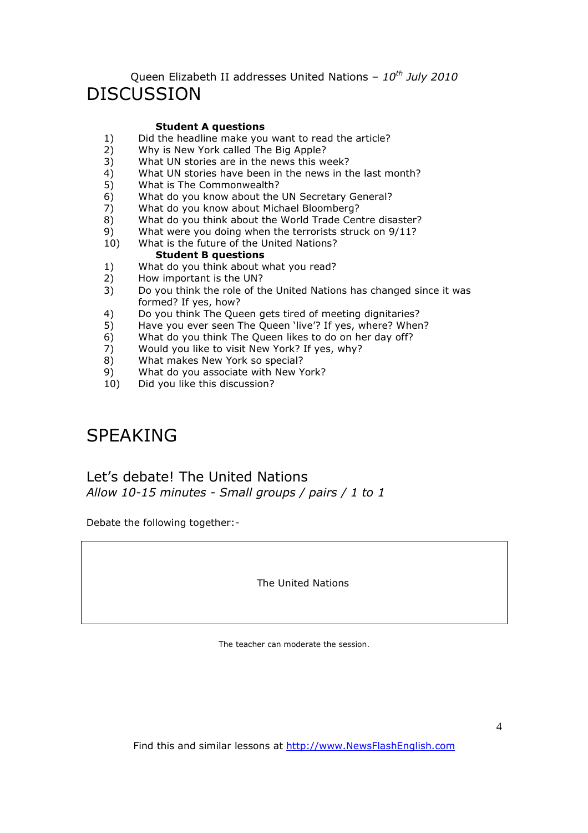### Queen Elizabeth II addresses United Nations – *10th July 2010* DISCUSSION

### **Student A questions**

- 1) Did the headline make you want to read the article?<br>2) Why is New York called The Big Apple?
- 2) Why is New York called The Big Apple?
- 3) What UN stories are in the news this week?
- 4) What UN stories have been in the news in the last month?<br>5) What is The Commonwealth?
- What is The Commonwealth?
- 6) What do you know about the UN Secretary General?
- 7) What do you know about Michael Bloomberg?
- 8) What do you think about the World Trade Centre disaster?
- 9) What were you doing when the terrorists struck on 9/11?
- 10) What is the future of the United Nations?

### **Student B questions**

- 1) What do you think about what you read?<br>2) How important is the UN?
- 2) How important is the UN?<br>3) Do you think the role of the
- 3) Do you think the role of the United Nations has changed since it was formed? If yes, how?
- 4) Do you think The Queen gets tired of meeting dignitaries?
- 5) Have you ever seen The Queen 'live'? If yes, where? When?
- 6) What do you think The Queen likes to do on her day off?<br>
7) Would you like to visit New York? If yes, why?
- Would you like to visit New York? If yes, why?
- 8) What makes New York so special?
- 9) What do you associate with New York?<br>10) Did you like this discussion?
- Did you like this discussion?

# SPEAKING

Let's debate! The United Nations *Allow 10-15 minutes - Small groups / pairs / 1 to 1*

Debate the following together:-

The United Nations

The teacher can moderate the session.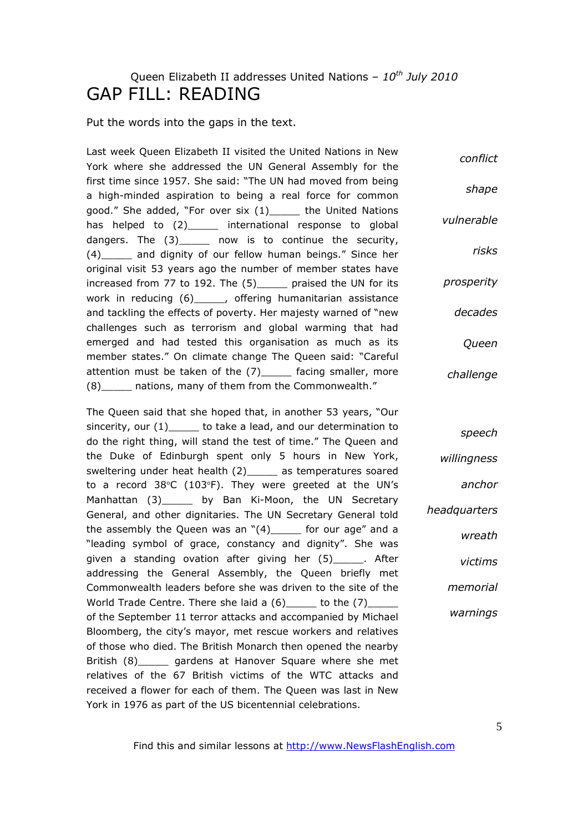# Queen Elizabeth II addresses United Nations – *10th July 2010* GAP FILL: READING

Put the words into the gaps in the text.

Last week Queen Elizabeth II visited the United Nations in New York where she addressed the UN General Assembly for the first time since 1957. She said: "The UN had moved from being a high-minded aspiration to being a real force for common good." She added, "For over six (1)\_\_\_\_\_ the United Nations has helped to  $(2)$  international response to global dangers. The (3) now is to continue the security, (4)\_\_\_\_\_ and dignity of our fellow human beings." Since her original visit 53 years ago the number of member states have increased from 77 to 192. The (5)\_\_\_\_\_ praised the UN for its work in reducing (6) . bettering humanitarian assistance and tackling the effects of poverty. Her majesty warned of "new challenges such as terrorism and global warming that had emerged and had tested this organisation as much as its member states." On climate change The Queen said: "Careful attention must be taken of the (7) facing smaller, more (8) and nations, many of them from the Commonwealth." *conflict shape vulnerable risks prosperity decades Queen challenge*

The Queen said that she hoped that, in another 53 years, "Our sincerity, our (1) to take a lead, and our determination to do the right thing, will stand the test of time." The Queen and the Duke of Edinburgh spent only 5 hours in New York, sweltering under heat health (2) as temperatures soared to a record 38°C (103°F). They were greeted at the UN's Manhattan (3)\_\_\_\_\_ by Ban Ki-Moon, the UN Secretary General, and other dignitaries. The UN Secretary General told the assembly the Queen was an  $"(4)$  for our age" and a "leading symbol of grace, constancy and dignity". She was given a standing ovation after giving her (5)\_\_\_\_\_. After addressing the General Assembly, the Queen briefly met Commonwealth leaders before she was driven to the site of the World Trade Centre. There she laid a  $(6)$  to the  $(7)$ of the September 11 terror attacks and accompanied by Michael Bloomberg, the city's mayor, met rescue workers and relatives of those who died. The British Monarch then opened the nearby British (8) gardens at Hanover Square where she met relatives of the 67 British victims of the WTC attacks and received a flower for each of them. The Queen was last in New York in 1976 as part of the US bicentennial celebrations. *willingness headquarters memorial warnings*

Find this and similar lessons at http://www.NewsFlashEnglish.com

*speech*

*anchor*

*wreath*

*victims*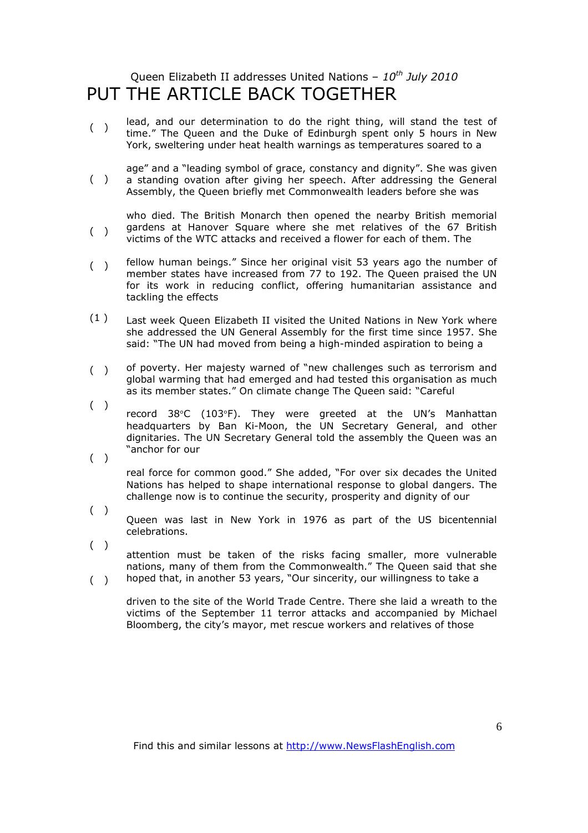## Queen Elizabeth II addresses United Nations – *10th July 2010* PUT THE ARTICLE BACK TOGETHER

- $($ ) lead, and our determination to do the right thing, will stand the test of time." The Queen and the Duke of Edinburgh spent only 5 hours in New York, sweltering under heat health warnings as temperatures soared to a
- $($ ) age" and a "leading symbol of grace, constancy and dignity". She was given a standing ovation after giving her speech. After addressing the General Assembly, the Queen briefly met Commonwealth leaders before she was
- $($ ) who died. The British Monarch then opened the nearby British memorial gardens at Hanover Square where she met relatives of the 67 British victims of the WTC attacks and received a flower for each of them. The
- $($ ) fellow human beings." Since her original visit 53 years ago the number of member states have increased from 77 to 192. The Queen praised the UN for its work in reducing conflict, offering humanitarian assistance and tackling the effects
- (1 ) Last week Queen Elizabeth II visited the United Nations in New York where she addressed the UN General Assembly for the first time since 1957. She said: "The UN had moved from being a high-minded aspiration to being a
- $($ ) of poverty. Her majesty warned of "new challenges such as terrorism and global warming that had emerged and had tested this organisation as much as its member states." On climate change The Queen said: "Careful
- ( ) record 38°C (103°F). They were greeted at the UN's Manhattan headquarters by Ban Ki-Moon, the UN Secretary General, and other dignitaries. The UN Secretary General told the assembly the Queen was an "anchor for our
- ( ) real force for common good." She added, "For over six decades the United Nations has helped to shape international response to global dangers. The challenge now is to continue the security, prosperity and dignity of our
- $($ ) Queen was last in New York in 1976 as part of the US bicentennial celebrations.
- $($ )  $($ ) attention must be taken of the risks facing smaller, more vulnerable nations, many of them from the Commonwealth." The Queen said that she hoped that, in another 53 years, "Our sincerity, our willingness to take a
	- driven to the site of the World Trade Centre. There she laid a wreath to the victims of the September 11 terror attacks and accompanied by Michael Bloomberg, the city's mayor, met rescue workers and relatives of those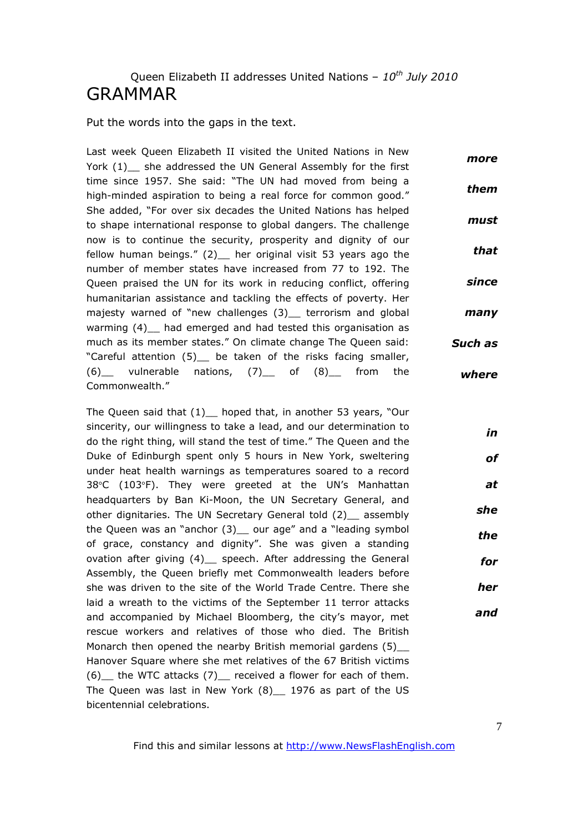## Queen Elizabeth II addresses United Nations – *10th July 2010* GRAMMAR

Put the words into the gaps in the text.

Last week Queen Elizabeth II visited the United Nations in New York (1) she addressed the UN General Assembly for the first time since 1957. She said: "The UN had moved from being a high-minded aspiration to being a real force for common good." She added, "For over six decades the United Nations has helped to shape international response to global dangers. The challenge now is to continue the security, prosperity and dignity of our fellow human beings." (2) her original visit 53 years ago the number of member states have increased from 77 to 192. The Queen praised the UN for its work in reducing conflict, offering humanitarian assistance and tackling the effects of poverty. Her majesty warned of "new challenges (3) terrorism and global warming (4) had emerged and had tested this organisation as much as its member states." On climate change The Queen said: "Careful attention (5) be taken of the risks facing smaller,  $(6)$  vulnerable nations,  $(7)$  of  $(8)$  from the Commonwealth." *more them must that since many Such as where*

The Queen said that (1) hoped that, in another 53 years, "Our sincerity, our willingness to take a lead, and our determination to do the right thing, will stand the test of time." The Queen and the Duke of Edinburgh spent only 5 hours in New York, sweltering under heat health warnings as temperatures soared to a record 38°C (103°F). They were greeted at the UN's Manhattan headquarters by Ban Ki-Moon, the UN Secretary General, and other dignitaries. The UN Secretary General told (2) assembly the Queen was an "anchor (3) our age" and a "leading symbol of grace, constancy and dignity". She was given a standing ovation after giving (4) speech. After addressing the General Assembly, the Queen briefly met Commonwealth leaders before she was driven to the site of the World Trade Centre. There she laid a wreath to the victims of the September 11 terror attacks and accompanied by Michael Bloomberg, the city's mayor, met rescue workers and relatives of those who died. The British Monarch then opened the nearby British memorial gardens (5) Hanover Square where she met relatives of the 67 British victims (6)\_\_ the WTC attacks (7)\_\_ received a flower for each of them. The Queen was last in New York (8) 1976 as part of the US bicentennial celebrations.

Find this and similar lessons at http://www.NewsFlashEnglish.com

*in*

*of*

*at*

*she*

*the*

*for*

*her*

*and*